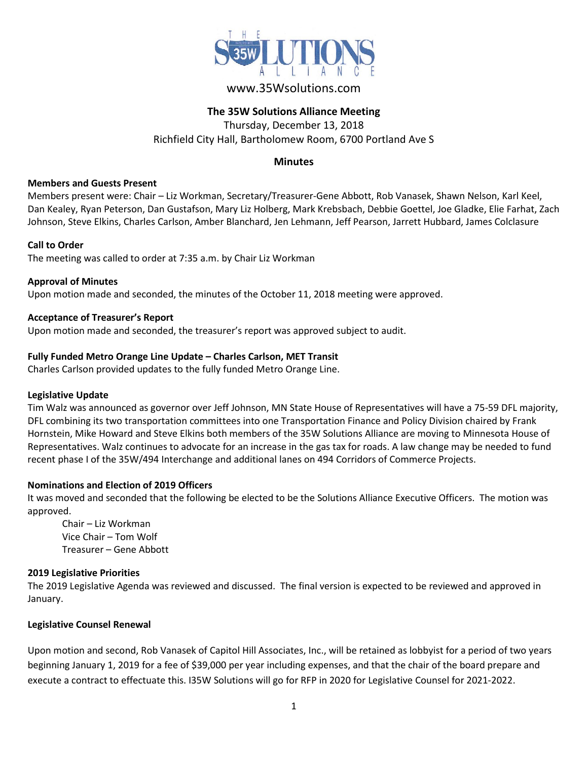

# www.35Wsolutions.com

# **The 35W Solutions Alliance Meeting**

Thursday, December 13, 2018 Richfield City Hall, Bartholomew Room, 6700 Portland Ave S

## **Minutes**

#### **Members and Guests Present**

Members present were: Chair – Liz Workman, Secretary/Treasurer-Gene Abbott, Rob Vanasek, Shawn Nelson, Karl Keel, Dan Kealey, Ryan Peterson, Dan Gustafson, Mary Liz Holberg, Mark Krebsbach, Debbie Goettel, Joe Gladke, Elie Farhat, Zach Johnson, Steve Elkins, Charles Carlson, Amber Blanchard, Jen Lehmann, Jeff Pearson, Jarrett Hubbard, James Colclasure

#### **Call to Order**

The meeting was called to order at 7:35 a.m. by Chair Liz Workman

**Approval of Minutes** Upon motion made and seconded, the minutes of the October 11, 2018 meeting were approved.

#### **Acceptance of Treasurer's Report**

Upon motion made and seconded, the treasurer's report was approved subject to audit.

#### **Fully Funded Metro Orange Line Update – Charles Carlson, MET Transit**

Charles Carlson provided updates to the fully funded Metro Orange Line.

#### **Legislative Update**

Tim Walz was announced as governor over Jeff Johnson, MN State House of Representatives will have a 75-59 DFL majority, DFL combining its two transportation committees into one Transportation Finance and Policy Division chaired by Frank Hornstein, Mike Howard and Steve Elkins both members of the 35W Solutions Alliance are moving to Minnesota House of Representatives. Walz continues to advocate for an increase in the gas tax for roads. A law change may be needed to fund recent phase I of the 35W/494 Interchange and additional lanes on 494 Corridors of Commerce Projects.

#### **Nominations and Election of 2019 Officers**

It was moved and seconded that the following be elected to be the Solutions Alliance Executive Officers. The motion was approved.

Chair – Liz Workman Vice Chair – Tom Wolf Treasurer – Gene Abbott

#### **2019 Legislative Priorities**

The 2019 Legislative Agenda was reviewed and discussed. The final version is expected to be reviewed and approved in January.

#### **Legislative Counsel Renewal**

Upon motion and second, Rob Vanasek of Capitol Hill Associates, Inc., will be retained as lobbyist for a period of two years beginning January 1, 2019 for a fee of \$39,000 per year including expenses, and that the chair of the board prepare and execute a contract to effectuate this. I35W Solutions will go for RFP in 2020 for Legislative Counsel for 2021-2022.